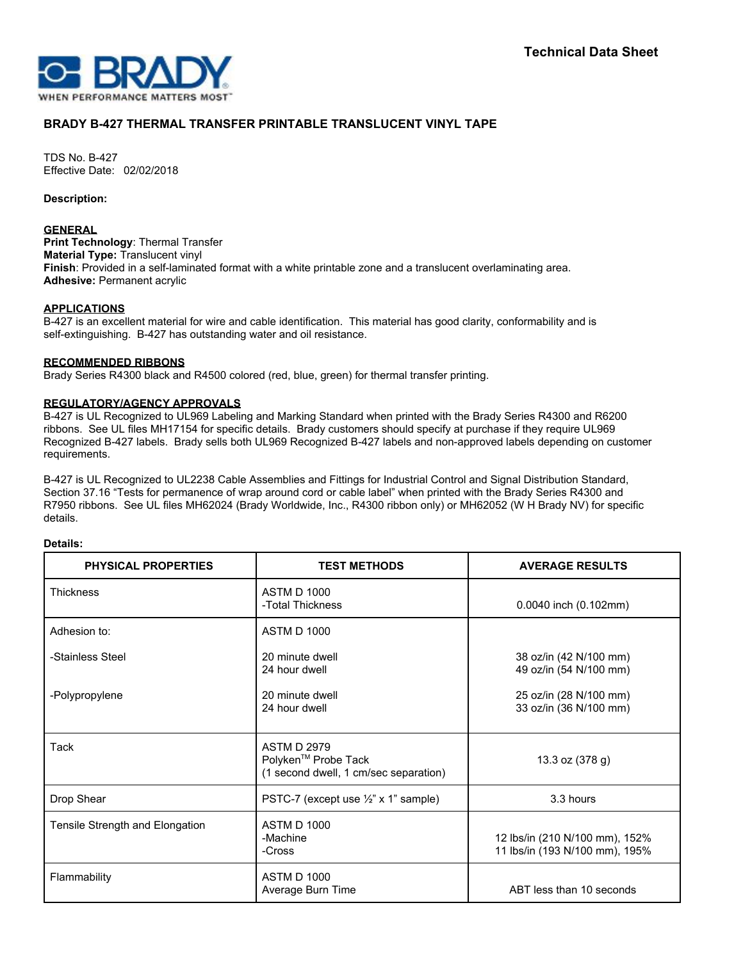

# **BRADY B-427 THERMAL TRANSFER PRINTABLE TRANSLUCENT VINYL TAPE**

TDS No. B-427 Effective Date: 02/02/2018

**Description:**

## **GENERAL**

**Print Technology**: Thermal Transfer **Material Type:** Translucent vinyl **Finish**: Provided in a self-laminated format with a white printable zone and a translucent overlaminating area. **Adhesive:** Permanent acrylic

## **APPLICATIONS**

B-427 is an excellent material for wire and cable identification. This material has good clarity, conformability and is self-extinguishing. B-427 has outstanding water and oil resistance.

## **RECOMMENDED RIBBONS**

Brady Series R4300 black and R4500 colored (red, blue, green) for thermal transfer printing.

## **REGULATORY/AGENCY APPROVALS**

B-427 is UL Recognized to UL969 Labeling and Marking Standard when printed with the Brady Series R4300 and R6200 ribbons. See UL files MH17154 for specific details. Brady customers should specify at purchase if they require UL969 Recognized B-427 labels. Brady sells both UL969 Recognized B-427 labels and non-approved labels depending on customer requirements.

B-427 is UL Recognized to UL2238 Cable Assemblies and Fittings for Industrial Control and Signal Distribution Standard, Section 37.16 "Tests for permanence of wrap around cord or cable label" when printed with the Brady Series R4300 and R7950 ribbons. See UL files MH62024 (Brady Worldwide, Inc., R4300 ribbon only) or MH62052 (W H Brady NV) for specific details.

#### **Details:**

| <b>PHYSICAL PROPERTIES</b>      | <b>TEST METHODS</b>                                                                            | <b>AVERAGE RESULTS</b>                                           |
|---------------------------------|------------------------------------------------------------------------------------------------|------------------------------------------------------------------|
| <b>Thickness</b>                | <b>ASTM D 1000</b><br>-Total Thickness                                                         | 0.0040 inch (0.102mm)                                            |
| Adhesion to:                    | <b>ASTM D 1000</b>                                                                             |                                                                  |
| -Stainless Steel                | 20 minute dwell<br>24 hour dwell                                                               | 38 oz/in (42 N/100 mm)<br>49 oz/in (54 N/100 mm)                 |
| -Polypropylene                  | 20 minute dwell<br>24 hour dwell                                                               | 25 oz/in (28 N/100 mm)<br>33 oz/in (36 N/100 mm)                 |
| Tack                            | <b>ASTM D 2979</b><br>Polyken <sup>™</sup> Probe Tack<br>(1 second dwell, 1 cm/sec separation) | 13.3 oz (378 g)                                                  |
| Drop Shear                      | PSTC-7 (except use 1/2" x 1" sample)                                                           | 3.3 hours                                                        |
| Tensile Strength and Elongation | <b>ASTM D 1000</b><br>-Machine<br>-Cross                                                       | 12 lbs/in (210 N/100 mm), 152%<br>11 lbs/in (193 N/100 mm), 195% |
| Flammability                    | <b>ASTM D 1000</b><br>Average Burn Time                                                        | ABT less than 10 seconds                                         |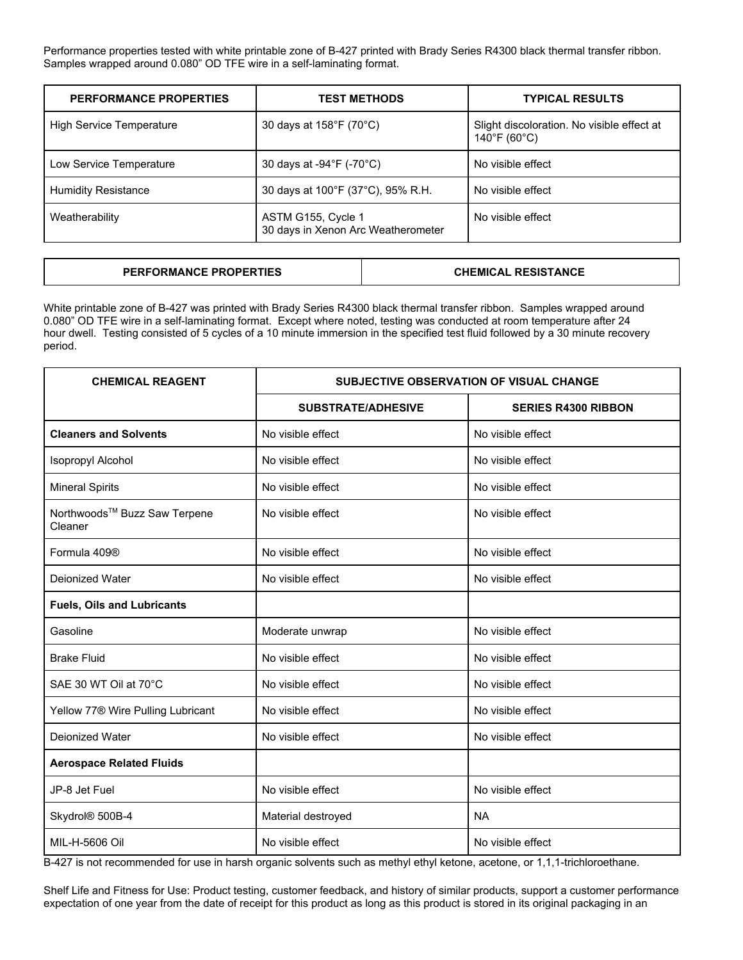Performance properties tested with white printable zone of B-427 printed with Brady Series R4300 black thermal transfer ribbon. Samples wrapped around 0.080" OD TFE wire in a self-laminating format.

| <b>PERFORMANCE PROPERTIES</b>   | <b>TEST METHODS</b>                                      | <b>TYPICAL RESULTS</b>                                                          |
|---------------------------------|----------------------------------------------------------|---------------------------------------------------------------------------------|
| <b>High Service Temperature</b> | 30 days at 158°F (70°C)                                  | Slight discoloration. No visible effect at<br>$140^{\circ}$ F (60 $^{\circ}$ C) |
| Low Service Temperature         | 30 days at -94°F (-70°C)                                 | No visible effect                                                               |
| <b>Humidity Resistance</b>      | 30 days at 100°F (37°C), 95% R.H.                        | No visible effect                                                               |
| Weatherability                  | ASTM G155, Cycle 1<br>30 days in Xenon Arc Weatherometer | No visible effect                                                               |

# **PERFORMANCE PROPERTIES CHEMICAL RESISTANCE**

White printable zone of B-427 was printed with Brady Series R4300 black thermal transfer ribbon. Samples wrapped around 0.080" OD TFE wire in a self-laminating format. Except where noted, testing was conducted at room temperature after 24 hour dwell. Testing consisted of 5 cycles of a 10 minute immersion in the specified test fluid followed by a 30 minute recovery period.

| <b>CHEMICAL REAGENT</b>                       | <b>SUBJECTIVE OBSERVATION OF VISUAL CHANGE</b> |                            |
|-----------------------------------------------|------------------------------------------------|----------------------------|
|                                               | <b>SUBSTRATE/ADHESIVE</b>                      | <b>SERIES R4300 RIBBON</b> |
| <b>Cleaners and Solvents</b>                  | No visible effect                              | No visible effect          |
| <b>Isopropyl Alcohol</b>                      | No visible effect                              | No visible effect          |
| <b>Mineral Spirits</b>                        | No visible effect                              | No visible effect          |
| Northwoods™ Buzz Saw Terpene<br>Cleaner       | No visible effect                              | No visible effect          |
| Formula 409®                                  | No visible effect                              | No visible effect          |
| Deionized Water                               | No visible effect                              | No visible effect          |
| <b>Fuels, Oils and Lubricants</b>             |                                                |                            |
| Gasoline                                      | Moderate unwrap                                | No visible effect          |
| <b>Brake Fluid</b>                            | No visible effect                              | No visible effect          |
| SAE 30 WT Oil at 70°C                         | No visible effect                              | No visible effect          |
| Yellow 77 <sup>®</sup> Wire Pulling Lubricant | No visible effect                              | No visible effect          |
| Deionized Water                               | No visible effect                              | No visible effect          |
| <b>Aerospace Related Fluids</b>               |                                                |                            |
| JP-8 Jet Fuel                                 | No visible effect                              | No visible effect          |
| Skydrol® 500B-4                               | Material destroyed                             | <b>NA</b>                  |
| MIL-H-5606 Oil                                | No visible effect                              | No visible effect          |

B-427 is not recommended for use in harsh organic solvents such as methyl ethyl ketone, acetone, or 1,1,1-trichloroethane.

Shelf Life and Fitness for Use: Product testing, customer feedback, and history of similar products, support a customer performance expectation of one year from the date of receipt for this product as long as this product is stored in its original packaging in an